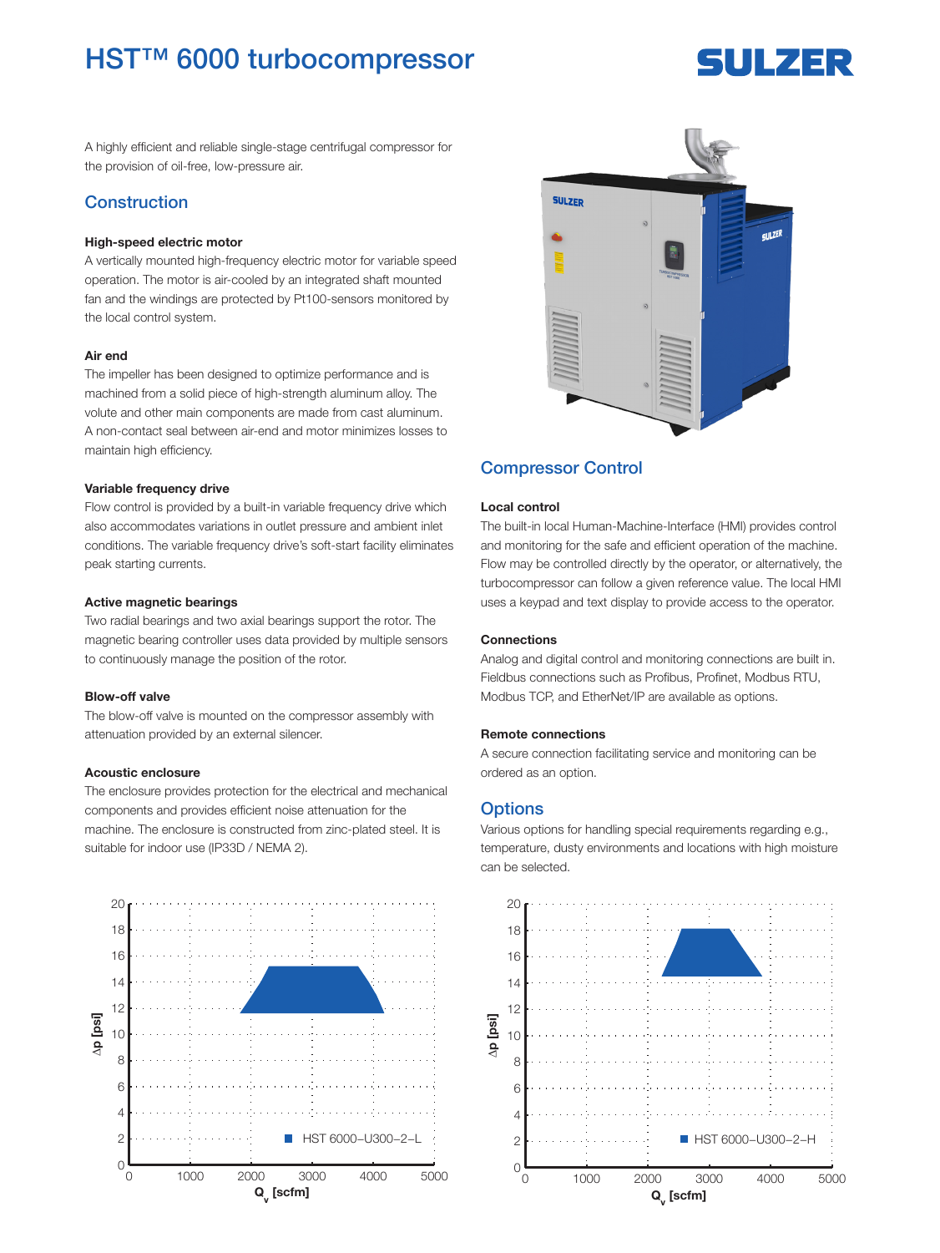## **HST™ 6000 turbocompressor**

# 5ULZER

A highly efficient and reliable single-stage centrifugal compressor for the provision of oil-free, low-pressure air.

## Construction

#### High-speed electric motor

A vertically mounted high-frequency electric motor for variable speed operation. The motor is air-cooled by an integrated shaft mounted fan and the windings are protected by Pt100-sensors monitored by the local control system.

#### Air end

The impeller has been designed to optimize performance and is machined from a solid piece of high-strength aluminum alloy. The volute and other main components are made from cast aluminum. A non-contact seal between air-end and motor minimizes losses to maintain high efficiency.

#### Variable frequency drive

Flow control is provided by a built-in variable frequency drive which also accommodates variations in outlet pressure and ambient inlet conditions. The variable frequency drive's soft-start facility eliminates peak starting currents.

#### Active magnetic bearings

Two radial bearings and two axial bearings support the rotor. The magnetic bearing controller uses data provided by multiple sensors to continuously manage the position of the rotor.

#### Blow-off valve

The blow-off valve is mounted on the compressor assembly with attenuation provided by an external silencer.

#### Acoustic enclosure

The enclosure provides protection for the electrical and mechanical components and provides efficient noise attenuation for the machine. The enclosure is constructed from zinc-plated steel. It is suitable for indoor use (IP33D / NEMA 2).





## Compressor Control

#### Local control

The built-in local Human-Machine-Interface (HMI) provides control and monitoring for the safe and efficient operation of the machine. Flow may be controlled directly by the operator, or alternatively, the turbocompressor can follow a given reference value. The local HMI uses a keypad and text display to provide access to the operator.

#### Connections

Analog and digital control and monitoring connections are built in. Fieldbus connections such as Profibus, Profinet, Modbus RTU, Modbus TCP, and EtherNet/IP are available as options.

#### Remote connections

A secure connection facilitating service and monitoring can be ordered as an option.

## **Options**

Various options for handling special requirements regarding e.g., temperature, dusty environments and locations with high moisture can be selected.